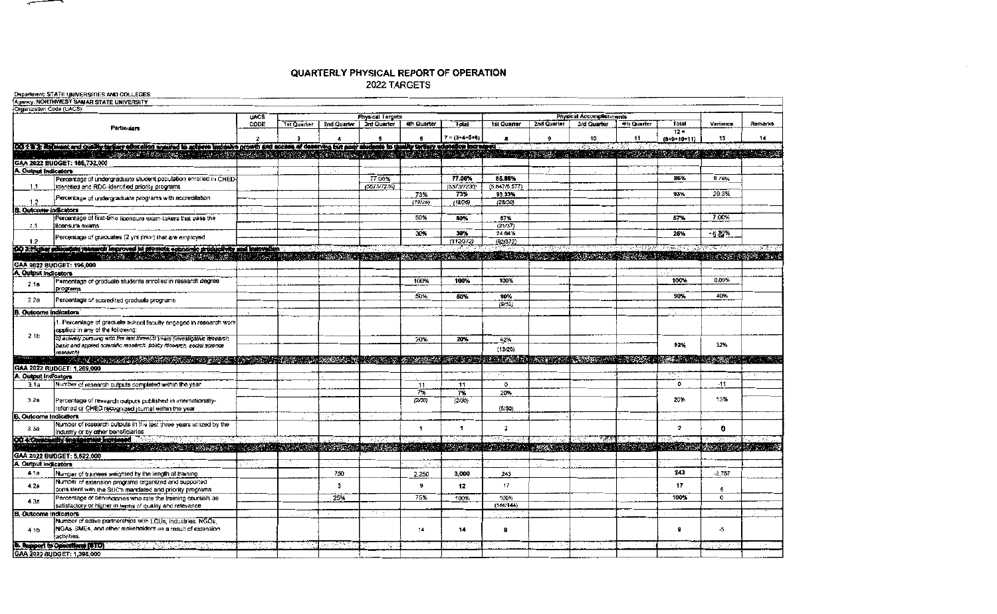## QUARTERLY PHYSICAL REPORT OF OPERATION

## 2022 TARGETS

 $\overline{\phantom{a}}$ 

| Agency: NORTHWEST SAMAR STATE UNIVERSITY<br>Organization Code (UACS):<br>Physical Accomplishments<br><b>UACS</b><br><b>Physical Targets</b><br>Total<br>1st Quarter   2nd Quarter<br>3rd Quarter<br>4th Quarter<br>CODE<br>4th Quarter<br>Total<br>1st Quarter<br>2nd Quarter<br>3rd Quarter<br>Variance<br>Particulars<br>$12 -$<br>$7 = (3 + 4 + 5 + 6)$<br>13<br>10<br>11<br>$(8+9+10+11)$<br>٠<br>з<br>(2019) a consider and quality targety advention analong to actions inclusive growth and access of deserving but poor students to quality tertialy actuation increased<br>了。2008年的19月10日,19月10日,19月10日,19月10日,19月10日,19月10日,19月10日,19月10日,19月10日,19月10日,19月10日,19月10日,19月10日,19月10日,19月1<br>[1] 2009年10月10日,19日10日,19日10日,19日10日,19日10日,19日10日,19日10日,19日10日,19日10日,19日10日,19日10日,19日10日,19日10日,19日10日,19日<br>医黄疸病病 違<br><b>CONTRACTOR</b><br>GAA 2022 BUDGET: 185.732.000<br>A. Output Indicators<br>77.08%<br>86%<br>8.78%<br>Percentage of undergraduate student population enrolled in CHED-<br>77.08%<br>85.88%<br>identified and RDC-identified priority programs<br>(5573/7230)<br>(5573/7230)<br>(5,647/6,577)<br>1,1<br>20.3%<br>73%<br>93%<br>73%<br>93.33%<br>Percentage of undergraduate programs with accreditation<br>1.2<br>(19/26)<br>(19/26)<br>(28/30)<br>B. Outcome indicators<br>7.00%<br>50%<br>57%<br>Percentage of first-time licensure exam-takers that pass the<br>50%<br>57%<br>(21/37)<br>1.1<br>licensure exams<br>24.84%<br>30%<br>25%<br>$-5.12%$<br>30%<br>Percentage of graduates (2 yrs prior) that are employed<br>(112372)<br>(92/372)<br>1.2<br>00 3. Higher existences measured improved to promote coonerate productivity and instruction<br>THE RESERVED OF A REPORT OF THE RESERVED OF A REPORT OF A REPORT OF A REPORT OF A REPORT OF A REPORT OF A REPORT OF<br>GAA 2022 BUDGET: 196,000<br>A. Output Indicators<br>100%<br>100%<br>0.00%<br>100%<br>100%<br>Percentage of graduale students enrolled in research degree<br>2.1a<br>programs<br>50%<br>90%<br>40%<br>50%<br>90%<br>2.2a<br>Percentage of accredited graduate programs<br>(9/10)<br><b>B. Outcome indicators</b><br>. Percentage of graduate school facuity engaged in research work<br>applied in any of the following:<br>2.1 <sub>b</sub><br>b) actively pursuing with the last three(3) years (investigative research.<br>52%<br>20%<br>20%<br>52%<br>32%<br>basic and applied scientific research, policy research, social science<br>(13/25)<br>research)<br>TERRITA ALTERNATIVAT DELL'INTERNATIONALE DELL'INTERNATIONALE PROGRAMMENTALE CONTROLLE CONSIDERATIONE DELL'INTE<br>GAA 2022 BUDGET: 1,269,000<br>A. Output indicators<br>Number of research outputs completed within the year<br>D.<br>$-11$<br>11<br>3.1a<br>11<br>$\mathbf{o}$<br>7%<br>7%<br>20%<br>13%<br>20%<br>(2/30)<br>3.2a<br>(2/30)<br>Percentage of research outputs published in internationally-<br>referred or CHED recognized journal within the year<br>(6/30)<br>Outcome Indicators<br>Number of research outputs in the lest three years utilized by the<br>$\overline{2}$<br><sup>2</sup><br>$\overline{1}$<br>0.<br>3.3a<br>industry or by other beneficiaries<br>OO 4 Constructive and construction and<br>$-8.3583$<br>TALI TALABANG KARAT KARANG MALA MALA KATANG PARA KARANG KATURAN KATULA MALA KATA<br>SARA DE MARCA ELLA<br>A MARKET AND ARREST AND A LOT ON<br>GAA 2022 BUDGET: 5,622,000 | Department: STATE UNIVERSITIES AND COLLEGES |  |  |  |  |  |  |  |  |  |  |  |
|------------------------------------------------------------------------------------------------------------------------------------------------------------------------------------------------------------------------------------------------------------------------------------------------------------------------------------------------------------------------------------------------------------------------------------------------------------------------------------------------------------------------------------------------------------------------------------------------------------------------------------------------------------------------------------------------------------------------------------------------------------------------------------------------------------------------------------------------------------------------------------------------------------------------------------------------------------------------------------------------------------------------------------------------------------------------------------------------------------------------------------------------------------------------------------------------------------------------------------------------------------------------------------------------------------------------------------------------------------------------------------------------------------------------------------------------------------------------------------------------------------------------------------------------------------------------------------------------------------------------------------------------------------------------------------------------------------------------------------------------------------------------------------------------------------------------------------------------------------------------------------------------------------------------------------------------------------------------------------------------------------------------------------------------------------------------------------------------------------------------------------------------------------------------------------------------------------------------------------------------------------------------------------------------------------------------------------------------------------------------------------------------------------------------------------------------------------------------------------------------------------------------------------------------------------------------------------------------------------------------------------------------------------------------------------------------------------------------------------------------------------------------------------------------------------------------------------------------------------------------------------------------------------------------------------------------------------------------------------------------------------------------------------------------------------------------------------------------------------------------------------------------------------------------------------------------------------------------------------------------------------------------------------------------------------------------------------------------------------------------------------------------------------|---------------------------------------------|--|--|--|--|--|--|--|--|--|--|--|
|                                                                                                                                                                                                                                                                                                                                                                                                                                                                                                                                                                                                                                                                                                                                                                                                                                                                                                                                                                                                                                                                                                                                                                                                                                                                                                                                                                                                                                                                                                                                                                                                                                                                                                                                                                                                                                                                                                                                                                                                                                                                                                                                                                                                                                                                                                                                                                                                                                                                                                                                                                                                                                                                                                                                                                                                                                                                                                                                                                                                                                                                                                                                                                                                                                                                                                                                                                                                            |                                             |  |  |  |  |  |  |  |  |  |  |  |
|                                                                                                                                                                                                                                                                                                                                                                                                                                                                                                                                                                                                                                                                                                                                                                                                                                                                                                                                                                                                                                                                                                                                                                                                                                                                                                                                                                                                                                                                                                                                                                                                                                                                                                                                                                                                                                                                                                                                                                                                                                                                                                                                                                                                                                                                                                                                                                                                                                                                                                                                                                                                                                                                                                                                                                                                                                                                                                                                                                                                                                                                                                                                                                                                                                                                                                                                                                                                            |                                             |  |  |  |  |  |  |  |  |  |  |  |
|                                                                                                                                                                                                                                                                                                                                                                                                                                                                                                                                                                                                                                                                                                                                                                                                                                                                                                                                                                                                                                                                                                                                                                                                                                                                                                                                                                                                                                                                                                                                                                                                                                                                                                                                                                                                                                                                                                                                                                                                                                                                                                                                                                                                                                                                                                                                                                                                                                                                                                                                                                                                                                                                                                                                                                                                                                                                                                                                                                                                                                                                                                                                                                                                                                                                                                                                                                                                            | <b>Remarks</b>                              |  |  |  |  |  |  |  |  |  |  |  |
|                                                                                                                                                                                                                                                                                                                                                                                                                                                                                                                                                                                                                                                                                                                                                                                                                                                                                                                                                                                                                                                                                                                                                                                                                                                                                                                                                                                                                                                                                                                                                                                                                                                                                                                                                                                                                                                                                                                                                                                                                                                                                                                                                                                                                                                                                                                                                                                                                                                                                                                                                                                                                                                                                                                                                                                                                                                                                                                                                                                                                                                                                                                                                                                                                                                                                                                                                                                                            |                                             |  |  |  |  |  |  |  |  |  |  |  |
|                                                                                                                                                                                                                                                                                                                                                                                                                                                                                                                                                                                                                                                                                                                                                                                                                                                                                                                                                                                                                                                                                                                                                                                                                                                                                                                                                                                                                                                                                                                                                                                                                                                                                                                                                                                                                                                                                                                                                                                                                                                                                                                                                                                                                                                                                                                                                                                                                                                                                                                                                                                                                                                                                                                                                                                                                                                                                                                                                                                                                                                                                                                                                                                                                                                                                                                                                                                                            | 14                                          |  |  |  |  |  |  |  |  |  |  |  |
|                                                                                                                                                                                                                                                                                                                                                                                                                                                                                                                                                                                                                                                                                                                                                                                                                                                                                                                                                                                                                                                                                                                                                                                                                                                                                                                                                                                                                                                                                                                                                                                                                                                                                                                                                                                                                                                                                                                                                                                                                                                                                                                                                                                                                                                                                                                                                                                                                                                                                                                                                                                                                                                                                                                                                                                                                                                                                                                                                                                                                                                                                                                                                                                                                                                                                                                                                                                                            |                                             |  |  |  |  |  |  |  |  |  |  |  |
|                                                                                                                                                                                                                                                                                                                                                                                                                                                                                                                                                                                                                                                                                                                                                                                                                                                                                                                                                                                                                                                                                                                                                                                                                                                                                                                                                                                                                                                                                                                                                                                                                                                                                                                                                                                                                                                                                                                                                                                                                                                                                                                                                                                                                                                                                                                                                                                                                                                                                                                                                                                                                                                                                                                                                                                                                                                                                                                                                                                                                                                                                                                                                                                                                                                                                                                                                                                                            |                                             |  |  |  |  |  |  |  |  |  |  |  |
|                                                                                                                                                                                                                                                                                                                                                                                                                                                                                                                                                                                                                                                                                                                                                                                                                                                                                                                                                                                                                                                                                                                                                                                                                                                                                                                                                                                                                                                                                                                                                                                                                                                                                                                                                                                                                                                                                                                                                                                                                                                                                                                                                                                                                                                                                                                                                                                                                                                                                                                                                                                                                                                                                                                                                                                                                                                                                                                                                                                                                                                                                                                                                                                                                                                                                                                                                                                                            |                                             |  |  |  |  |  |  |  |  |  |  |  |
|                                                                                                                                                                                                                                                                                                                                                                                                                                                                                                                                                                                                                                                                                                                                                                                                                                                                                                                                                                                                                                                                                                                                                                                                                                                                                                                                                                                                                                                                                                                                                                                                                                                                                                                                                                                                                                                                                                                                                                                                                                                                                                                                                                                                                                                                                                                                                                                                                                                                                                                                                                                                                                                                                                                                                                                                                                                                                                                                                                                                                                                                                                                                                                                                                                                                                                                                                                                                            |                                             |  |  |  |  |  |  |  |  |  |  |  |
|                                                                                                                                                                                                                                                                                                                                                                                                                                                                                                                                                                                                                                                                                                                                                                                                                                                                                                                                                                                                                                                                                                                                                                                                                                                                                                                                                                                                                                                                                                                                                                                                                                                                                                                                                                                                                                                                                                                                                                                                                                                                                                                                                                                                                                                                                                                                                                                                                                                                                                                                                                                                                                                                                                                                                                                                                                                                                                                                                                                                                                                                                                                                                                                                                                                                                                                                                                                                            |                                             |  |  |  |  |  |  |  |  |  |  |  |
|                                                                                                                                                                                                                                                                                                                                                                                                                                                                                                                                                                                                                                                                                                                                                                                                                                                                                                                                                                                                                                                                                                                                                                                                                                                                                                                                                                                                                                                                                                                                                                                                                                                                                                                                                                                                                                                                                                                                                                                                                                                                                                                                                                                                                                                                                                                                                                                                                                                                                                                                                                                                                                                                                                                                                                                                                                                                                                                                                                                                                                                                                                                                                                                                                                                                                                                                                                                                            |                                             |  |  |  |  |  |  |  |  |  |  |  |
|                                                                                                                                                                                                                                                                                                                                                                                                                                                                                                                                                                                                                                                                                                                                                                                                                                                                                                                                                                                                                                                                                                                                                                                                                                                                                                                                                                                                                                                                                                                                                                                                                                                                                                                                                                                                                                                                                                                                                                                                                                                                                                                                                                                                                                                                                                                                                                                                                                                                                                                                                                                                                                                                                                                                                                                                                                                                                                                                                                                                                                                                                                                                                                                                                                                                                                                                                                                                            |                                             |  |  |  |  |  |  |  |  |  |  |  |
|                                                                                                                                                                                                                                                                                                                                                                                                                                                                                                                                                                                                                                                                                                                                                                                                                                                                                                                                                                                                                                                                                                                                                                                                                                                                                                                                                                                                                                                                                                                                                                                                                                                                                                                                                                                                                                                                                                                                                                                                                                                                                                                                                                                                                                                                                                                                                                                                                                                                                                                                                                                                                                                                                                                                                                                                                                                                                                                                                                                                                                                                                                                                                                                                                                                                                                                                                                                                            |                                             |  |  |  |  |  |  |  |  |  |  |  |
|                                                                                                                                                                                                                                                                                                                                                                                                                                                                                                                                                                                                                                                                                                                                                                                                                                                                                                                                                                                                                                                                                                                                                                                                                                                                                                                                                                                                                                                                                                                                                                                                                                                                                                                                                                                                                                                                                                                                                                                                                                                                                                                                                                                                                                                                                                                                                                                                                                                                                                                                                                                                                                                                                                                                                                                                                                                                                                                                                                                                                                                                                                                                                                                                                                                                                                                                                                                                            |                                             |  |  |  |  |  |  |  |  |  |  |  |
|                                                                                                                                                                                                                                                                                                                                                                                                                                                                                                                                                                                                                                                                                                                                                                                                                                                                                                                                                                                                                                                                                                                                                                                                                                                                                                                                                                                                                                                                                                                                                                                                                                                                                                                                                                                                                                                                                                                                                                                                                                                                                                                                                                                                                                                                                                                                                                                                                                                                                                                                                                                                                                                                                                                                                                                                                                                                                                                                                                                                                                                                                                                                                                                                                                                                                                                                                                                                            |                                             |  |  |  |  |  |  |  |  |  |  |  |
|                                                                                                                                                                                                                                                                                                                                                                                                                                                                                                                                                                                                                                                                                                                                                                                                                                                                                                                                                                                                                                                                                                                                                                                                                                                                                                                                                                                                                                                                                                                                                                                                                                                                                                                                                                                                                                                                                                                                                                                                                                                                                                                                                                                                                                                                                                                                                                                                                                                                                                                                                                                                                                                                                                                                                                                                                                                                                                                                                                                                                                                                                                                                                                                                                                                                                                                                                                                                            |                                             |  |  |  |  |  |  |  |  |  |  |  |
|                                                                                                                                                                                                                                                                                                                                                                                                                                                                                                                                                                                                                                                                                                                                                                                                                                                                                                                                                                                                                                                                                                                                                                                                                                                                                                                                                                                                                                                                                                                                                                                                                                                                                                                                                                                                                                                                                                                                                                                                                                                                                                                                                                                                                                                                                                                                                                                                                                                                                                                                                                                                                                                                                                                                                                                                                                                                                                                                                                                                                                                                                                                                                                                                                                                                                                                                                                                                            |                                             |  |  |  |  |  |  |  |  |  |  |  |
|                                                                                                                                                                                                                                                                                                                                                                                                                                                                                                                                                                                                                                                                                                                                                                                                                                                                                                                                                                                                                                                                                                                                                                                                                                                                                                                                                                                                                                                                                                                                                                                                                                                                                                                                                                                                                                                                                                                                                                                                                                                                                                                                                                                                                                                                                                                                                                                                                                                                                                                                                                                                                                                                                                                                                                                                                                                                                                                                                                                                                                                                                                                                                                                                                                                                                                                                                                                                            |                                             |  |  |  |  |  |  |  |  |  |  |  |
|                                                                                                                                                                                                                                                                                                                                                                                                                                                                                                                                                                                                                                                                                                                                                                                                                                                                                                                                                                                                                                                                                                                                                                                                                                                                                                                                                                                                                                                                                                                                                                                                                                                                                                                                                                                                                                                                                                                                                                                                                                                                                                                                                                                                                                                                                                                                                                                                                                                                                                                                                                                                                                                                                                                                                                                                                                                                                                                                                                                                                                                                                                                                                                                                                                                                                                                                                                                                            |                                             |  |  |  |  |  |  |  |  |  |  |  |
|                                                                                                                                                                                                                                                                                                                                                                                                                                                                                                                                                                                                                                                                                                                                                                                                                                                                                                                                                                                                                                                                                                                                                                                                                                                                                                                                                                                                                                                                                                                                                                                                                                                                                                                                                                                                                                                                                                                                                                                                                                                                                                                                                                                                                                                                                                                                                                                                                                                                                                                                                                                                                                                                                                                                                                                                                                                                                                                                                                                                                                                                                                                                                                                                                                                                                                                                                                                                            |                                             |  |  |  |  |  |  |  |  |  |  |  |
|                                                                                                                                                                                                                                                                                                                                                                                                                                                                                                                                                                                                                                                                                                                                                                                                                                                                                                                                                                                                                                                                                                                                                                                                                                                                                                                                                                                                                                                                                                                                                                                                                                                                                                                                                                                                                                                                                                                                                                                                                                                                                                                                                                                                                                                                                                                                                                                                                                                                                                                                                                                                                                                                                                                                                                                                                                                                                                                                                                                                                                                                                                                                                                                                                                                                                                                                                                                                            |                                             |  |  |  |  |  |  |  |  |  |  |  |
|                                                                                                                                                                                                                                                                                                                                                                                                                                                                                                                                                                                                                                                                                                                                                                                                                                                                                                                                                                                                                                                                                                                                                                                                                                                                                                                                                                                                                                                                                                                                                                                                                                                                                                                                                                                                                                                                                                                                                                                                                                                                                                                                                                                                                                                                                                                                                                                                                                                                                                                                                                                                                                                                                                                                                                                                                                                                                                                                                                                                                                                                                                                                                                                                                                                                                                                                                                                                            |                                             |  |  |  |  |  |  |  |  |  |  |  |
|                                                                                                                                                                                                                                                                                                                                                                                                                                                                                                                                                                                                                                                                                                                                                                                                                                                                                                                                                                                                                                                                                                                                                                                                                                                                                                                                                                                                                                                                                                                                                                                                                                                                                                                                                                                                                                                                                                                                                                                                                                                                                                                                                                                                                                                                                                                                                                                                                                                                                                                                                                                                                                                                                                                                                                                                                                                                                                                                                                                                                                                                                                                                                                                                                                                                                                                                                                                                            |                                             |  |  |  |  |  |  |  |  |  |  |  |
|                                                                                                                                                                                                                                                                                                                                                                                                                                                                                                                                                                                                                                                                                                                                                                                                                                                                                                                                                                                                                                                                                                                                                                                                                                                                                                                                                                                                                                                                                                                                                                                                                                                                                                                                                                                                                                                                                                                                                                                                                                                                                                                                                                                                                                                                                                                                                                                                                                                                                                                                                                                                                                                                                                                                                                                                                                                                                                                                                                                                                                                                                                                                                                                                                                                                                                                                                                                                            |                                             |  |  |  |  |  |  |  |  |  |  |  |
|                                                                                                                                                                                                                                                                                                                                                                                                                                                                                                                                                                                                                                                                                                                                                                                                                                                                                                                                                                                                                                                                                                                                                                                                                                                                                                                                                                                                                                                                                                                                                                                                                                                                                                                                                                                                                                                                                                                                                                                                                                                                                                                                                                                                                                                                                                                                                                                                                                                                                                                                                                                                                                                                                                                                                                                                                                                                                                                                                                                                                                                                                                                                                                                                                                                                                                                                                                                                            |                                             |  |  |  |  |  |  |  |  |  |  |  |
|                                                                                                                                                                                                                                                                                                                                                                                                                                                                                                                                                                                                                                                                                                                                                                                                                                                                                                                                                                                                                                                                                                                                                                                                                                                                                                                                                                                                                                                                                                                                                                                                                                                                                                                                                                                                                                                                                                                                                                                                                                                                                                                                                                                                                                                                                                                                                                                                                                                                                                                                                                                                                                                                                                                                                                                                                                                                                                                                                                                                                                                                                                                                                                                                                                                                                                                                                                                                            |                                             |  |  |  |  |  |  |  |  |  |  |  |
|                                                                                                                                                                                                                                                                                                                                                                                                                                                                                                                                                                                                                                                                                                                                                                                                                                                                                                                                                                                                                                                                                                                                                                                                                                                                                                                                                                                                                                                                                                                                                                                                                                                                                                                                                                                                                                                                                                                                                                                                                                                                                                                                                                                                                                                                                                                                                                                                                                                                                                                                                                                                                                                                                                                                                                                                                                                                                                                                                                                                                                                                                                                                                                                                                                                                                                                                                                                                            |                                             |  |  |  |  |  |  |  |  |  |  |  |
|                                                                                                                                                                                                                                                                                                                                                                                                                                                                                                                                                                                                                                                                                                                                                                                                                                                                                                                                                                                                                                                                                                                                                                                                                                                                                                                                                                                                                                                                                                                                                                                                                                                                                                                                                                                                                                                                                                                                                                                                                                                                                                                                                                                                                                                                                                                                                                                                                                                                                                                                                                                                                                                                                                                                                                                                                                                                                                                                                                                                                                                                                                                                                                                                                                                                                                                                                                                                            |                                             |  |  |  |  |  |  |  |  |  |  |  |
|                                                                                                                                                                                                                                                                                                                                                                                                                                                                                                                                                                                                                                                                                                                                                                                                                                                                                                                                                                                                                                                                                                                                                                                                                                                                                                                                                                                                                                                                                                                                                                                                                                                                                                                                                                                                                                                                                                                                                                                                                                                                                                                                                                                                                                                                                                                                                                                                                                                                                                                                                                                                                                                                                                                                                                                                                                                                                                                                                                                                                                                                                                                                                                                                                                                                                                                                                                                                            |                                             |  |  |  |  |  |  |  |  |  |  |  |
|                                                                                                                                                                                                                                                                                                                                                                                                                                                                                                                                                                                                                                                                                                                                                                                                                                                                                                                                                                                                                                                                                                                                                                                                                                                                                                                                                                                                                                                                                                                                                                                                                                                                                                                                                                                                                                                                                                                                                                                                                                                                                                                                                                                                                                                                                                                                                                                                                                                                                                                                                                                                                                                                                                                                                                                                                                                                                                                                                                                                                                                                                                                                                                                                                                                                                                                                                                                                            |                                             |  |  |  |  |  |  |  |  |  |  |  |
|                                                                                                                                                                                                                                                                                                                                                                                                                                                                                                                                                                                                                                                                                                                                                                                                                                                                                                                                                                                                                                                                                                                                                                                                                                                                                                                                                                                                                                                                                                                                                                                                                                                                                                                                                                                                                                                                                                                                                                                                                                                                                                                                                                                                                                                                                                                                                                                                                                                                                                                                                                                                                                                                                                                                                                                                                                                                                                                                                                                                                                                                                                                                                                                                                                                                                                                                                                                                            |                                             |  |  |  |  |  |  |  |  |  |  |  |
|                                                                                                                                                                                                                                                                                                                                                                                                                                                                                                                                                                                                                                                                                                                                                                                                                                                                                                                                                                                                                                                                                                                                                                                                                                                                                                                                                                                                                                                                                                                                                                                                                                                                                                                                                                                                                                                                                                                                                                                                                                                                                                                                                                                                                                                                                                                                                                                                                                                                                                                                                                                                                                                                                                                                                                                                                                                                                                                                                                                                                                                                                                                                                                                                                                                                                                                                                                                                            |                                             |  |  |  |  |  |  |  |  |  |  |  |
|                                                                                                                                                                                                                                                                                                                                                                                                                                                                                                                                                                                                                                                                                                                                                                                                                                                                                                                                                                                                                                                                                                                                                                                                                                                                                                                                                                                                                                                                                                                                                                                                                                                                                                                                                                                                                                                                                                                                                                                                                                                                                                                                                                                                                                                                                                                                                                                                                                                                                                                                                                                                                                                                                                                                                                                                                                                                                                                                                                                                                                                                                                                                                                                                                                                                                                                                                                                                            |                                             |  |  |  |  |  |  |  |  |  |  |  |
|                                                                                                                                                                                                                                                                                                                                                                                                                                                                                                                                                                                                                                                                                                                                                                                                                                                                                                                                                                                                                                                                                                                                                                                                                                                                                                                                                                                                                                                                                                                                                                                                                                                                                                                                                                                                                                                                                                                                                                                                                                                                                                                                                                                                                                                                                                                                                                                                                                                                                                                                                                                                                                                                                                                                                                                                                                                                                                                                                                                                                                                                                                                                                                                                                                                                                                                                                                                                            |                                             |  |  |  |  |  |  |  |  |  |  |  |
|                                                                                                                                                                                                                                                                                                                                                                                                                                                                                                                                                                                                                                                                                                                                                                                                                                                                                                                                                                                                                                                                                                                                                                                                                                                                                                                                                                                                                                                                                                                                                                                                                                                                                                                                                                                                                                                                                                                                                                                                                                                                                                                                                                                                                                                                                                                                                                                                                                                                                                                                                                                                                                                                                                                                                                                                                                                                                                                                                                                                                                                                                                                                                                                                                                                                                                                                                                                                            |                                             |  |  |  |  |  |  |  |  |  |  |  |
|                                                                                                                                                                                                                                                                                                                                                                                                                                                                                                                                                                                                                                                                                                                                                                                                                                                                                                                                                                                                                                                                                                                                                                                                                                                                                                                                                                                                                                                                                                                                                                                                                                                                                                                                                                                                                                                                                                                                                                                                                                                                                                                                                                                                                                                                                                                                                                                                                                                                                                                                                                                                                                                                                                                                                                                                                                                                                                                                                                                                                                                                                                                                                                                                                                                                                                                                                                                                            |                                             |  |  |  |  |  |  |  |  |  |  |  |
|                                                                                                                                                                                                                                                                                                                                                                                                                                                                                                                                                                                                                                                                                                                                                                                                                                                                                                                                                                                                                                                                                                                                                                                                                                                                                                                                                                                                                                                                                                                                                                                                                                                                                                                                                                                                                                                                                                                                                                                                                                                                                                                                                                                                                                                                                                                                                                                                                                                                                                                                                                                                                                                                                                                                                                                                                                                                                                                                                                                                                                                                                                                                                                                                                                                                                                                                                                                                            |                                             |  |  |  |  |  |  |  |  |  |  |  |
|                                                                                                                                                                                                                                                                                                                                                                                                                                                                                                                                                                                                                                                                                                                                                                                                                                                                                                                                                                                                                                                                                                                                                                                                                                                                                                                                                                                                                                                                                                                                                                                                                                                                                                                                                                                                                                                                                                                                                                                                                                                                                                                                                                                                                                                                                                                                                                                                                                                                                                                                                                                                                                                                                                                                                                                                                                                                                                                                                                                                                                                                                                                                                                                                                                                                                                                                                                                                            |                                             |  |  |  |  |  |  |  |  |  |  |  |
|                                                                                                                                                                                                                                                                                                                                                                                                                                                                                                                                                                                                                                                                                                                                                                                                                                                                                                                                                                                                                                                                                                                                                                                                                                                                                                                                                                                                                                                                                                                                                                                                                                                                                                                                                                                                                                                                                                                                                                                                                                                                                                                                                                                                                                                                                                                                                                                                                                                                                                                                                                                                                                                                                                                                                                                                                                                                                                                                                                                                                                                                                                                                                                                                                                                                                                                                                                                                            |                                             |  |  |  |  |  |  |  |  |  |  |  |
|                                                                                                                                                                                                                                                                                                                                                                                                                                                                                                                                                                                                                                                                                                                                                                                                                                                                                                                                                                                                                                                                                                                                                                                                                                                                                                                                                                                                                                                                                                                                                                                                                                                                                                                                                                                                                                                                                                                                                                                                                                                                                                                                                                                                                                                                                                                                                                                                                                                                                                                                                                                                                                                                                                                                                                                                                                                                                                                                                                                                                                                                                                                                                                                                                                                                                                                                                                                                            |                                             |  |  |  |  |  |  |  |  |  |  |  |
| A. Output Indicators<br>$\mathcal{L} \subseteq \mathcal{L}$                                                                                                                                                                                                                                                                                                                                                                                                                                                                                                                                                                                                                                                                                                                                                                                                                                                                                                                                                                                                                                                                                                                                                                                                                                                                                                                                                                                                                                                                                                                                                                                                                                                                                                                                                                                                                                                                                                                                                                                                                                                                                                                                                                                                                                                                                                                                                                                                                                                                                                                                                                                                                                                                                                                                                                                                                                                                                                                                                                                                                                                                                                                                                                                                                                                                                                                                                |                                             |  |  |  |  |  |  |  |  |  |  |  |
| 243<br>Number of trainees weighted by the length of training<br>750<br>3,000<br>$-2.757$<br>4.1a<br>2.250<br>243                                                                                                                                                                                                                                                                                                                                                                                                                                                                                                                                                                                                                                                                                                                                                                                                                                                                                                                                                                                                                                                                                                                                                                                                                                                                                                                                                                                                                                                                                                                                                                                                                                                                                                                                                                                                                                                                                                                                                                                                                                                                                                                                                                                                                                                                                                                                                                                                                                                                                                                                                                                                                                                                                                                                                                                                                                                                                                                                                                                                                                                                                                                                                                                                                                                                                           |                                             |  |  |  |  |  |  |  |  |  |  |  |
| Number of extension programs organized and supported<br>17<br>17<br>3<br>9.<br>12<br>4.28                                                                                                                                                                                                                                                                                                                                                                                                                                                                                                                                                                                                                                                                                                                                                                                                                                                                                                                                                                                                                                                                                                                                                                                                                                                                                                                                                                                                                                                                                                                                                                                                                                                                                                                                                                                                                                                                                                                                                                                                                                                                                                                                                                                                                                                                                                                                                                                                                                                                                                                                                                                                                                                                                                                                                                                                                                                                                                                                                                                                                                                                                                                                                                                                                                                                                                                  |                                             |  |  |  |  |  |  |  |  |  |  |  |
| consistent with the SUC's mandated and priority programs<br>5                                                                                                                                                                                                                                                                                                                                                                                                                                                                                                                                                                                                                                                                                                                                                                                                                                                                                                                                                                                                                                                                                                                                                                                                                                                                                                                                                                                                                                                                                                                                                                                                                                                                                                                                                                                                                                                                                                                                                                                                                                                                                                                                                                                                                                                                                                                                                                                                                                                                                                                                                                                                                                                                                                                                                                                                                                                                                                                                                                                                                                                                                                                                                                                                                                                                                                                                              |                                             |  |  |  |  |  |  |  |  |  |  |  |
| 100%<br>0<br>Percentage of beneficianes who rate the training course/s as<br>25%<br>75%<br>100%<br>100%<br>4.3a<br>(144/144)                                                                                                                                                                                                                                                                                                                                                                                                                                                                                                                                                                                                                                                                                                                                                                                                                                                                                                                                                                                                                                                                                                                                                                                                                                                                                                                                                                                                                                                                                                                                                                                                                                                                                                                                                                                                                                                                                                                                                                                                                                                                                                                                                                                                                                                                                                                                                                                                                                                                                                                                                                                                                                                                                                                                                                                                                                                                                                                                                                                                                                                                                                                                                                                                                                                                               |                                             |  |  |  |  |  |  |  |  |  |  |  |
| satisfactory or higher in terms of quality and relevance<br>A.<br>Outcome Indicators                                                                                                                                                                                                                                                                                                                                                                                                                                                                                                                                                                                                                                                                                                                                                                                                                                                                                                                                                                                                                                                                                                                                                                                                                                                                                                                                                                                                                                                                                                                                                                                                                                                                                                                                                                                                                                                                                                                                                                                                                                                                                                                                                                                                                                                                                                                                                                                                                                                                                                                                                                                                                                                                                                                                                                                                                                                                                                                                                                                                                                                                                                                                                                                                                                                                                                                       |                                             |  |  |  |  |  |  |  |  |  |  |  |
| Number of active partnerships with LGUs, industries, NGOs,                                                                                                                                                                                                                                                                                                                                                                                                                                                                                                                                                                                                                                                                                                                                                                                                                                                                                                                                                                                                                                                                                                                                                                                                                                                                                                                                                                                                                                                                                                                                                                                                                                                                                                                                                                                                                                                                                                                                                                                                                                                                                                                                                                                                                                                                                                                                                                                                                                                                                                                                                                                                                                                                                                                                                                                                                                                                                                                                                                                                                                                                                                                                                                                                                                                                                                                                                 |                                             |  |  |  |  |  |  |  |  |  |  |  |
| NGAs, SMEs, and other stakeholders as a result of extension<br>я<br>-5<br>14<br>14<br>9<br>41b<br>activities.                                                                                                                                                                                                                                                                                                                                                                                                                                                                                                                                                                                                                                                                                                                                                                                                                                                                                                                                                                                                                                                                                                                                                                                                                                                                                                                                                                                                                                                                                                                                                                                                                                                                                                                                                                                                                                                                                                                                                                                                                                                                                                                                                                                                                                                                                                                                                                                                                                                                                                                                                                                                                                                                                                                                                                                                                                                                                                                                                                                                                                                                                                                                                                                                                                                                                              |                                             |  |  |  |  |  |  |  |  |  |  |  |
| B. Support to Operations (870)                                                                                                                                                                                                                                                                                                                                                                                                                                                                                                                                                                                                                                                                                                                                                                                                                                                                                                                                                                                                                                                                                                                                                                                                                                                                                                                                                                                                                                                                                                                                                                                                                                                                                                                                                                                                                                                                                                                                                                                                                                                                                                                                                                                                                                                                                                                                                                                                                                                                                                                                                                                                                                                                                                                                                                                                                                                                                                                                                                                                                                                                                                                                                                                                                                                                                                                                                                             |                                             |  |  |  |  |  |  |  |  |  |  |  |
| GAA 2022 BUDGET: 1,398,000                                                                                                                                                                                                                                                                                                                                                                                                                                                                                                                                                                                                                                                                                                                                                                                                                                                                                                                                                                                                                                                                                                                                                                                                                                                                                                                                                                                                                                                                                                                                                                                                                                                                                                                                                                                                                                                                                                                                                                                                                                                                                                                                                                                                                                                                                                                                                                                                                                                                                                                                                                                                                                                                                                                                                                                                                                                                                                                                                                                                                                                                                                                                                                                                                                                                                                                                                                                 |                                             |  |  |  |  |  |  |  |  |  |  |  |